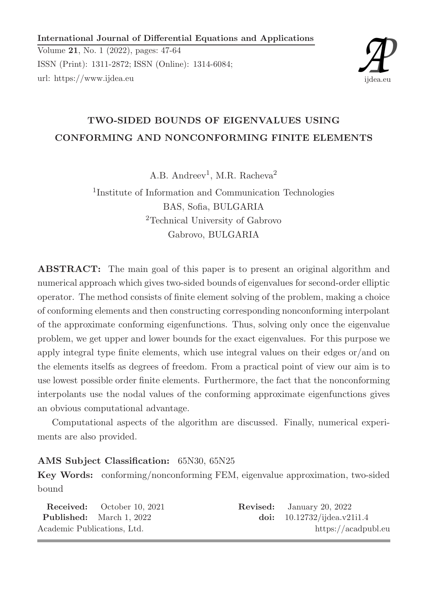International Journal of Differential Equations and Applications

Volume 21, No. 1 (2022), pages: 47-64 ISSN (Print): 1311-2872; ISSN (Online): 1314-6084; url: https://www.ijdea.eu



# TWO-SIDED BOUNDS OF EIGENVALUES USING CONFORMING AND NONCONFORMING FINITE ELEMENTS

A.B. Andreev<sup>1</sup>, M.R. Racheva<sup>2</sup>

1 Institute of Information and Communication Technologies BAS, Sofia, BULGARIA <sup>2</sup>Technical University of Gabrovo Gabrovo, BULGARIA

ABSTRACT: The main goal of this paper is to present an original algorithm and numerical approach which gives two-sided bounds of eigenvalues for second-order elliptic operator. The method consists of finite element solving of the problem, making a choice of conforming elements and then constructing corresponding nonconforming interpolant of the approximate conforming eigenfunctions. Thus, solving only once the eigenvalue problem, we get upper and lower bounds for the exact eigenvalues. For this purpose we apply integral type finite elements, which use integral values on their edges or/and on the elements itselfs as degrees of freedom. From a practical point of view our aim is to use lowest possible order finite elements. Furthermore, the fact that the nonconforming interpolants use the nodal values of the conforming approximate eigenfunctions gives an obvious computational advantage.

Computational aspects of the algorithm are discussed. Finally, numerical experiments are also provided.

# AMS Subject Classification: 65N30, 65N25

Key Words: conforming/nonconforming FEM, eigenvalue approximation, two-sided bound

|                             | <b>Received:</b> October 10, 2021 | <b>Revised:</b> January 20, 2022 |
|-----------------------------|-----------------------------------|----------------------------------|
|                             | <b>Published:</b> March 1, 2022   | doi: $10.12732$ /ijdea.v21i1.4   |
| Academic Publications, Ltd. |                                   | https://acadpubl.eu              |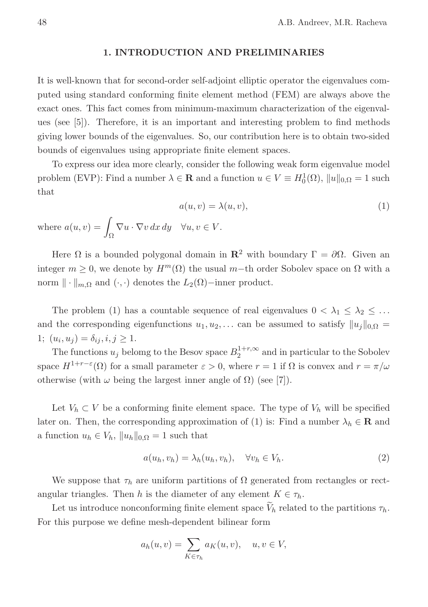# 1. INTRODUCTION AND PRELIMINARIES

It is well-known that for second-order self-adjoint elliptic operator the eigenvalues computed using standard conforming finite element method (FEM) are always above the exact ones. This fact comes from minimum-maximum characterization of the eigenvalues (see [5]). Therefore, it is an important and interesting problem to find methods giving lower bounds of the eigenvalues. So, our contribution here is to obtain two-sided bounds of eigenvalues using appropriate finite element spaces.

To express our idea more clearly, consider the following weak form eigenvalue model problem (EVP): Find a number  $\lambda \in \mathbf{R}$  and a function  $u \in V \equiv H_0^1(\Omega)$ ,  $||u||_{0,\Omega} = 1$  such that

$$
a(u, v) = \lambda(u, v),
$$
  

$$
\int_{\Omega} \nabla u \cdot \nabla v \, dx \, dy \quad \forall u, v \in V.
$$
 (1)

Here  $\Omega$  is a bounded polygonal domain in  $\mathbb{R}^2$  with boundary  $\Gamma = \partial \Omega$ . Given an integer  $m \geq 0$ , we denote by  $H^m(\Omega)$  the usual m-th order Sobolev space on  $\Omega$  with a norm  $\| \cdot \|_{m,\Omega}$  and  $( \cdot, \cdot )$  denotes the  $L_2(\Omega)$ −inner product.

The problem (1) has a countable sequence of real eigenvalues  $0 < \lambda_1 \leq \lambda_2 \leq \ldots$ and the corresponding eigenfunctions  $u_1, u_2, \ldots$  can be assumed to satisfy  $||u_j||_{0,\Omega} =$ 1;  $(u_i, u_j) = \delta_{ij}, i, j \ge 1.$ 

The functions  $u_j$  belomg to the Besov space  $B_2^{1+r,\infty}$  $2^{1+r,\infty}$  and in particular to the Sobolev space  $H^{1+r-\varepsilon}(\Omega)$  for a small parameter  $\varepsilon > 0$ , where  $r = 1$  if  $\Omega$  is convex and  $r = \pi/\omega$ otherwise (with  $\omega$  being the largest inner angle of  $\Omega$ ) (see [7]).

Let  $V_h \subset V$  be a conforming finite element space. The type of  $V_h$  will be specified later on. Then, the corresponding approximation of (1) is: Find a number  $\lambda_h \in \mathbf{R}$  and a function  $u_h \in V_h$ ,  $||u_h||_{0,\Omega} = 1$  such that

$$
a(u_h, v_h) = \lambda_h(u_h, v_h), \quad \forall v_h \in V_h.
$$
\n<sup>(2)</sup>

We suppose that  $\tau_h$  are uniform partitions of  $\Omega$  generated from rectangles or rectangular triangles. Then h is the diameter of any element  $K \in \tau_h$ .

Let us introduce nonconforming finite element space  $V_h$  related to the partitions  $\tau_h$ . For this purpose we define mesh-dependent bilinear form

$$
a_h(u,v) = \sum_{K \in \tau_h} a_K(u,v), \quad u, v \in V,
$$

where  $a(u, v) = \square$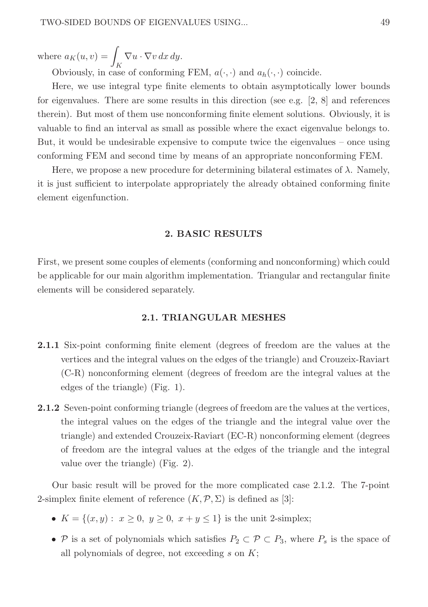where  $a_K(u, v) = \int_{V} \nabla u \cdot \nabla v \, dx \, dy.$ 

Obviously, in case of conforming FEM,  $a(\cdot, \cdot)$  and  $a_h(\cdot, \cdot)$  coincide.

Here, we use integral type finite elements to obtain asymptotically lower bounds for eigenvalues. There are some results in this direction (see e.g.  $[2, 8]$  and references therein). But most of them use nonconforming finite element solutions. Obviously, it is valuable to find an interval as small as possible where the exact eigenvalue belongs to. But, it would be undesirable expensive to compute twice the eigenvalues – once using conforming FEM and second time by means of an appropriate nonconforming FEM.

Here, we propose a new procedure for determining bilateral estimates of  $\lambda$ . Namely, it is just sufficient to interpolate appropriately the already obtained conforming finite element eigenfunction.

# 2. BASIC RESULTS

First, we present some couples of elements (conforming and nonconforming) which could be applicable for our main algorithm implementation. Triangular and rectangular finite elements will be considered separately.

# 2.1. TRIANGULAR MESHES

- 2.1.1 Six-point conforming finite element (degrees of freedom are the values at the vertices and the integral values on the edges of the triangle) and Crouzeix-Raviart (C-R) nonconforming element (degrees of freedom are the integral values at the edges of the triangle) (Fig. 1).
- 2.1.2 Seven-point conforming triangle (degrees of freedom are the values at the vertices, the integral values on the edges of the triangle and the integral value over the triangle) and extended Crouzeix-Raviart (EC-R) nonconforming element (degrees of freedom are the integral values at the edges of the triangle and the integral value over the triangle) (Fig. 2).

Our basic result will be proved for the more complicated case 2.1.2. The 7-point 2-simplex finite element of reference  $(K,\mathcal{P},\Sigma)$  is defined as [3]:

- $K = \{(x, y): x \ge 0, y \ge 0, x+y \le 1\}$  is the unit 2-simplex;
- P is a set of polynomials which satisfies  $P_2 \subset \mathcal{P} \subset P_3$ , where  $P_s$  is the space of all polynomials of degree, not exceeding  $s$  on  $K$ ;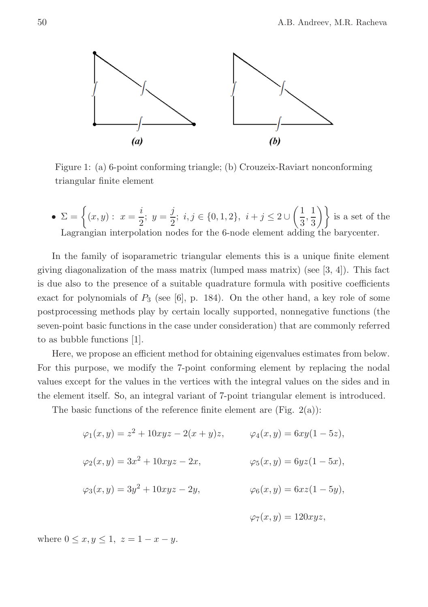

Figure 1: (a) 6-point conforming triangle; (b) Crouzeix-Raviart nonconforming triangular finite element

•  $\Sigma = \left\{ (x, y) : x = \frac{i}{2} \right\}$  $\frac{i}{2}$ ;  $y = \frac{j}{2}$  $\frac{3}{2}$ ;  $i, j \in \{0, 1, 2\}, i + j \leq 2 \cup$  $(1)$  $\frac{1}{3}, \frac{1}{3}$  $\left\{\frac{1}{3}\right\}$  is a set of the Lagrangian interpolation nodes for the 6-node element adding the barycenter.

In the family of isoparametric triangular elements this is a unique finite element giving diagonalization of the mass matrix (lumped mass matrix) (see  $[3, 4]$ ). This fact is due also to the presence of a suitable quadrature formula with positive coefficients exact for polynomials of  $P_3$  (see [6], p. 184). On the other hand, a key role of some postprocessing methods play by certain locally supported, nonnegative functions (the seven-point basic functions in the case under consideration) that are commonly referred to as bubble functions [1].

Here, we propose an efficient method for obtaining eigenvalues estimates from below. For this purpose, we modify the 7-point conforming element by replacing the nodal values except for the values in the vertices with the integral values on the sides and in the element itself. So, an integral variant of 7-point triangular element is introduced.

The basic functions of the reference finite element are (Fig.  $2(a)$ ):

$$
\varphi_1(x, y) = z^2 + 10xyz - 2(x + y)z, \qquad \varphi_4(x, y) = 6xy(1 - 5z),
$$
  

$$
\varphi_2(x, y) = 3x^2 + 10xyz - 2x, \qquad \varphi_5(x, y) = 6yz(1 - 5x),
$$
  

$$
\varphi_3(x, y) = 3y^2 + 10xyz - 2y, \qquad \varphi_6(x, y) = 6xz(1 - 5y),
$$
  

$$
\varphi_7(x, y) = 120xyz,
$$

where  $0 \le x, y \le 1, z = 1 - x - y$ .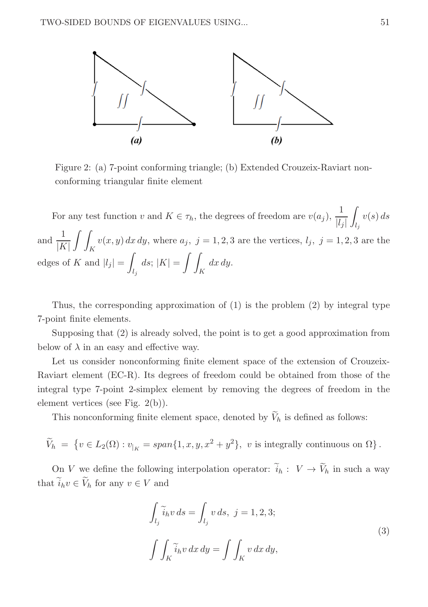

Figure 2: (a) 7-point conforming triangle; (b) Extended Crouzeix-Raviart nonconforming triangular finite element

For any test function v and  $K \in \tau_h$ , the degrees of freedom are  $v(a_j)$ ,  $\frac{1}{|l_j|}$ z  $l_j$  $v(s)\,ds$ and  $\frac{1}{\sqrt{2}}$  $|K|$  $\int$ K  $v(x, y) dx dy$ , where  $a_j$ ,  $j = 1, 2, 3$  are the vertices,  $l_j$ ,  $j = 1, 2, 3$  are the edges of K and  $|l_j|$  = Z  $\int_{l_j} ds$ ;  $|K| =$  $\int$ K  $dx dy$ .

Thus, the corresponding approximation of (1) is the problem (2) by integral type 7-point finite elements.

Supposing that (2) is already solved, the point is to get a good approximation from below of  $\lambda$  in an easy and effective way.

Let us consider nonconforming finite element space of the extension of Crouzeix-Raviart element (EC-R). Its degrees of freedom could be obtained from those of the integral type 7-point 2-simplex element by removing the degrees of freedom in the element vertices (see Fig. 2(b)).

This nonconforming finite element space, denoted by  $V_h$  is defined as follows:

$$
\widetilde{V}_h = \{ v \in L_2(\Omega) : v_{|_K} = span\{1, x, y, x^2 + y^2\}, v \text{ is integrally continuous on } \Omega \}.
$$

On V we define the following interpolation operator:  $i_h: V \to V_h$  in such a way that  $i_h v \in V_h$  for any  $v \in V$  and

$$
\int_{l_j} \widetilde{i}_h v \, ds = \int_{l_j} v \, ds, \ j = 1, 2, 3;
$$
\n
$$
\int \int_K \widetilde{i}_h v \, dx \, dy = \int \int_K v \, dx \, dy,
$$
\n(3)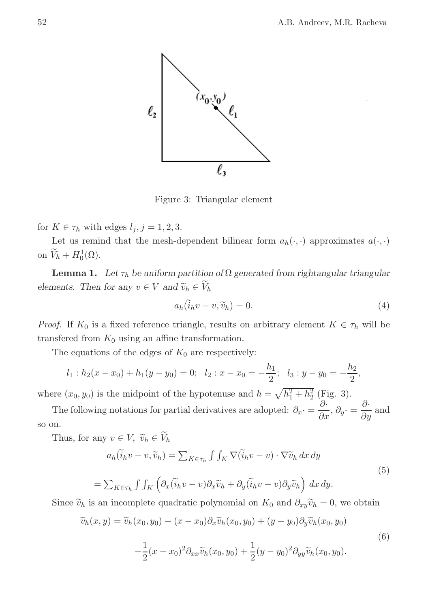

Figure 3: Triangular element

for  $K \in \tau_h$  with edges  $l_j, j = 1, 2, 3$ .

Let us remind that the mesh-dependent bilinear form  $a_h(\cdot, \cdot)$  approximates  $a(\cdot, \cdot)$ on  $\widetilde{V}_h + H_0^1(\Omega)$ .

**Lemma 1.** Let  $\tau_h$  be uniform partition of  $\Omega$  generated from rightangular triangular elements. Then for any  $v \in V$  and  $\widetilde{v}_h \in V_h$ 

$$
a_h(\tilde{i}_h v - v, \tilde{v}_h) = 0. \tag{4}
$$

*Proof.* If  $K_0$  is a fixed reference triangle, results on arbitrary element  $K \in \tau_h$  will be transferred from  $K_0$  using an affine transformation.

The equations of the edges of  $K_0$  are respectively:

$$
l_1 : h_2(x - x_0) + h_1(y - y_0) = 0;
$$
  $l_2 : x - x_0 = -\frac{h_1}{2};$   $l_3 : y - y_0 = -\frac{h_2}{2},$ 

where  $(x_0, y_0)$  is the midpoint of the hypotenuse and  $h = \sqrt{h_1^2 + h_2^2}$  (Fig. 3).

The following notations for partial derivatives are adopted:  $\partial_x \cdot = \frac{\partial}{\partial x}, \partial_y \cdot = \frac{\partial}{\partial y}$  and so on.

Thus, for any  $v \in V$ ,  $\widetilde{v}_h \in V_h$ 

$$
a_h(\tilde{i}_h v - v, \tilde{v}_h) = \sum_{K \in \tau_h} \int \int_K \nabla(\tilde{i}_h v - v) \cdot \nabla \tilde{v}_h \, dx \, dy
$$
  

$$
= \sum_{K \in \tau_h} \int \int_K \left( \partial_x (\tilde{i}_h v - v) \partial_x \tilde{v}_h + \partial_y (\tilde{i}_h v - v) \partial_y \tilde{v}_h \right) \, dx \, dy.
$$
 (5)

Since  $\tilde{v}_h$  is an incomplete quadratic polynomial on  $K_0$  and  $\partial_{xy}\tilde{v}_h = 0$ , we obtain

$$
\widetilde{v}_h(x,y) = \widetilde{v}_h(x_0, y_0) + (x - x_0)\partial_x \widetilde{v}_h(x_0, y_0) + (y - y_0)\partial_y \widetilde{v}_h(x_0, y_0)
$$
  

$$
+ \frac{1}{2}(x - x_0)^2 \partial_{xx} \widetilde{v}_h(x_0, y_0) + \frac{1}{2}(y - y_0)^2 \partial_{yy} \widetilde{v}_h(x_0, y_0).
$$
\n(6)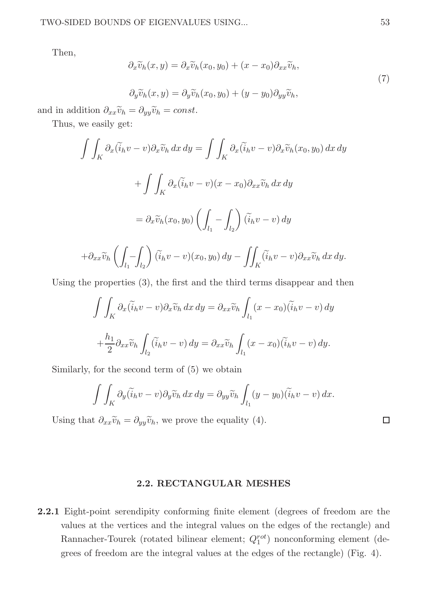Then,

$$
\partial_x \widetilde{v}_h(x, y) = \partial_x \widetilde{v}_h(x_0, y_0) + (x - x_0) \partial_{xx} \widetilde{v}_h,
$$
  
\n
$$
\partial_y \widetilde{v}_h(x, y) = \partial_y \widetilde{v}_h(x_0, y_0) + (y - y_0) \partial_{yy} \widetilde{v}_h,
$$
\n(7)

and in addition  $\partial_{xx}\tilde{v}_h = \partial_{yy}\tilde{v}_h = const.$ 

Thus, we easily get:

$$
\int \int_{K} \partial_{x} (\widetilde{i}_{h}v - v) \partial_{x} \widetilde{v}_{h} dx dy = \int \int_{K} \partial_{x} (\widetilde{i}_{h}v - v) \partial_{x} \widetilde{v}_{h} (x_{0}, y_{0}) dx dy
$$

$$
+ \int \int_{K} \partial_{x} (\widetilde{i}_{h}v - v) (x - x_{0}) \partial_{xx} \widetilde{v}_{h} dx dy
$$

$$
= \partial_{x} \widetilde{v}_{h} (x_{0}, y_{0}) \left( \int_{l_{1}} - \int_{l_{2}} \right) (\widetilde{i}_{h}v - v) dy
$$

$$
+ \partial_{xx} \widetilde{v}_{h} \left( \int_{l_{1}} - \int_{l_{2}} \right) (\widetilde{i}_{h}v - v) (x_{0}, y_{0}) dy - \int \int_{K} (\widetilde{i}_{h}v - v) \partial_{xx} \widetilde{v}_{h} dx dy.
$$

Using the properties (3), the first and the third terms disappear and then

$$
\int \int_K \partial_x (\widetilde{i}_h v - v) \partial_x \widetilde{v}_h \, dx \, dy = \partial_{xx} \widetilde{v}_h \int_{l_1} (x - x_0)(\widetilde{i}_h v - v) \, dy
$$

$$
+ \frac{h_1}{2} \partial_{xx} \widetilde{v}_h \int_{l_2} (\widetilde{i}_h v - v) \, dy = \partial_{xx} \widetilde{v}_h \int_{l_1} (x - x_0)(\widetilde{i}_h v - v) \, dy.
$$

Similarly, for the second term of (5) we obtain

$$
\int \int_K \partial_y (\widetilde{i}_h v - v) \partial_y \widetilde{v}_h \, dx \, dy = \partial_{yy} \widetilde{v}_h \int_{l_1} (y - y_0) (\widetilde{i}_h v - v) \, dx.
$$

Using that  $\partial_{xx}\tilde{v}_h = \partial_{yy}\tilde{v}_h$ , we prove the equality (4).

# 2.2. RECTANGULAR MESHES

2.2.1 Eight-point serendipity conforming finite element (degrees of freedom are the values at the vertices and the integral values on the edges of the rectangle) and Rannacher-Tourek (rotated bilinear element;  $Q_1^{rot}$ ) nonconforming element (degrees of freedom are the integral values at the edges of the rectangle) (Fig. 4).

 $\Box$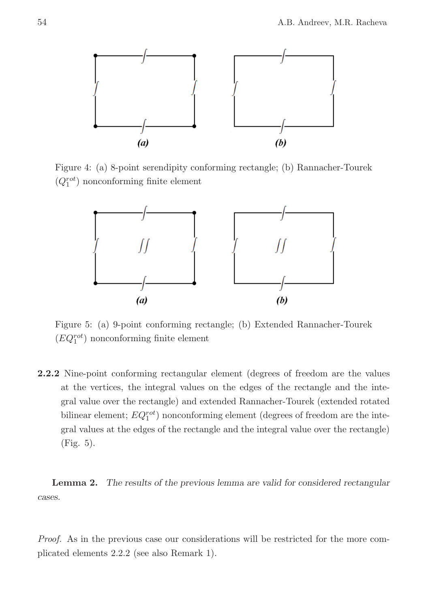

Figure 4: (a) 8-point serendipity conforming rectangle; (b) Rannacher-Tourek  $(Q_1^{rot})$  nonconforming finite element



Figure 5: (a) 9-point conforming rectangle; (b) Extended Rannacher-Tourek  $(EQ_1^{rot})$  nonconforming finite element

2.2.2 Nine-point conforming rectangular element (degrees of freedom are the values at the vertices, the integral values on the edges of the rectangle and the integral value over the rectangle) and extended Rannacher-Tourek (extended rotated bilinear element;  $EQ^{rot}_{1}$ ) nonconforming element (degrees of freedom are the integral values at the edges of the rectangle and the integral value over the rectangle) (Fig. 5).

Lemma 2. The results of the previous lemma are valid for considered rectangular cases.

Proof. As in the previous case our considerations will be restricted for the more complicated elements 2.2.2 (see also Remark 1).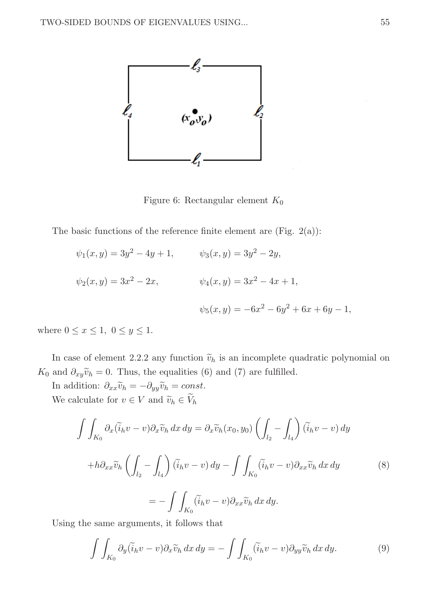

Figure 6: Rectangular element  $K_0$ 

The basic functions of the reference finite element are (Fig.  $2(a)$ ):

$$
\psi_1(x, y) = 3y^2 - 4y + 1,
$$
  $\psi_3(x, y) = 3y^2 - 2y,$   
\n $\psi_2(x, y) = 3x^2 - 2x,$   $\psi_4(x, y) = 3x^2 - 4x + 1,$   
\n $\psi_5(x, y) = -6x^2 - 6y^2 + 6x + 6y - 1,$ 

where  $0 \leq x \leq 1, 0 \leq y \leq 1$ .

In case of element 2.2.2 any function  $\tilde{v}_h$  is an incomplete quadratic polynomial on K<sub>0</sub> and  $\partial_{xy}\tilde{v}_h = 0$ . Thus, the equalities (6) and (7) are fulfilled.

In addition:  $\partial_{xx}\tilde{v}_h = -\partial_{yy}\tilde{v}_h = const.$ We calculate for  $v \in V$  and  $\widetilde{v}_h \in V_h$ 

$$
\int \int_{K_0} \partial_x (\widetilde{i}_h v - v) \partial_x \widetilde{v}_h \, dx \, dy = \partial_x \widetilde{v}_h(x_0, y_0) \left( \int_{l_2} - \int_{l_4} \right) (\widetilde{i}_h v - v) \, dy
$$

$$
+ h \partial_{xx} \widetilde{v}_h \left( \int_{l_2} - \int_{l_4} \right) (\widetilde{i}_h v - v) \, dy - \int \int_{K_0} (\widetilde{i}_h v - v) \partial_{xx} \widetilde{v}_h \, dx \, dy
$$

$$
= - \int \int_{K_0} (\widetilde{i}_h v - v) \partial_{xx} \widetilde{v}_h \, dx \, dy.
$$
 (8)

Using the same arguments, it follows that

$$
\int \int_{K_0} \partial_y (\widetilde{i}_h v - v) \partial_x \widetilde{v}_h \, dx \, dy = - \int \int_{K_0} (\widetilde{i}_h v - v) \partial_{yy} \widetilde{v}_h \, dx \, dy. \tag{9}
$$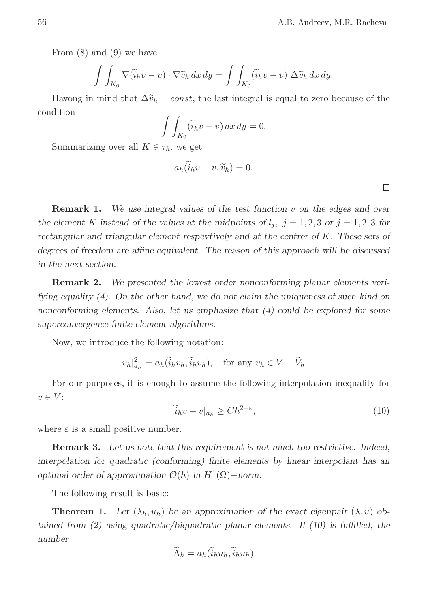From (8) and (9) we have

$$
\int \int_{K_0} \nabla(\widetilde{i}_h v - v) \cdot \nabla \widetilde{v}_h \, dx \, dy = \int \int_{K_0} (\widetilde{i}_h v - v) \, \Delta \widetilde{v}_h \, dx \, dy.
$$

Havong in mind that  $\Delta \tilde{v}_h = const$ , the last integral is equal to zero because of the condition

$$
\int \int_{K_0} (\widetilde{i}_h v - v) \, dx \, dy = 0.
$$

Summarizing over all  $K \in \tau_h$ , we get

$$
a_h(\widetilde{i}_h v - v, \widetilde{v}_h) = 0.
$$

**Remark 1.** We use integral values of the test function  $v$  on the edges and over the element K instead of the values at the midpoints of  $l_j$ ,  $j = 1, 2, 3$  or  $j = 1, 2, 3$  for rectangular and triangular element respevtively and at the centrer of K. These sets of degrees of freedom are affine equivalent. The reason of this approach will be discussed in the next section.

Remark 2. We presented the lowest order nonconforming planar elements verifying equality (4). On the other hand, we do not claim the uniqueness of such kind on nonconforming elements. Also, let us emphasize that (4) could be explored for some superconvergence finite element algorithms.

Now, we introduce the following notation:

$$
|v_h|^2_{a_h} = a_h(\widetilde{i}_h v_h, \widetilde{i}_h v_h), \quad \text{for any } v_h \in V + \widetilde{V}_h.
$$

For our purposes, it is enough to assume the following interpolation inequality for  $v \in V$ :

$$
|\tilde{i}_h v - v|_{a_h} \ge C h^{2-\varepsilon},\tag{10}
$$

where  $\varepsilon$  is a small positive number.

Remark 3. Let us note that this requirement is not much too restrictive. Indeed, interpolation for quadratic (conforming) finite elements by linear interpolant has an optimal order of approximation  $\mathcal{O}(h)$  in  $H^1(\Omega)$ -norm.

The following result is basic:

**Theorem 1.** Let  $(\lambda_h, u_h)$  be an approximation of the exact eigenpair  $(\lambda, u)$  obtained from (2) using quadratic/biquadratic planar elements. If (10) is fulfilled, the number

$$
\widetilde{\Lambda}_h = a_h(\widetilde{i}_h u_h, \widetilde{i}_h u_h)
$$

 $\Box$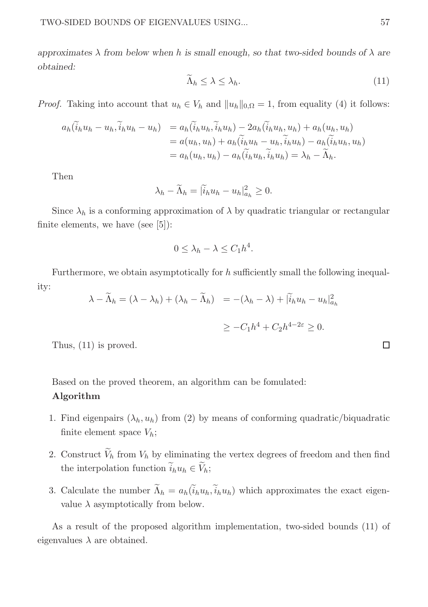approximates  $\lambda$  from below when h is small enough, so that two-sided bounds of  $\lambda$  are obtained:

$$
\widetilde{\Lambda}_h \le \lambda \le \lambda_h. \tag{11}
$$

*Proof.* Taking into account that  $u_h \in V_h$  and  $||u_h||_{0,\Omega} = 1$ , from equality (4) it follows:

$$
a_h(\widetilde{i}_h u_h - u_h, \widetilde{i}_h u_h - u_h) = a_h(\widetilde{i}_h u_h, \widetilde{i}_h u_h) - 2a_h(\widetilde{i}_h u_h, u_h) + a_h(u_h, u_h)
$$
  

$$
= a(u_h, u_h) + a_h(\widetilde{i}_h u_h - u_h, \widetilde{i}_h u_h) - a_h(\widetilde{i}_h u_h, u_h)
$$
  

$$
= a_h(u_h, u_h) - a_h(\widetilde{i}_h u_h, \widetilde{i}_h u_h) = \lambda_h - \widetilde{\Lambda}_h.
$$

Then

$$
\lambda_h - \widetilde{\Lambda}_h = |\widetilde{i}_h u_h - u_h|_{a_h}^2 \ge 0.
$$

Since  $\lambda_h$  is a conforming approximation of  $\lambda$  by quadratic triangular or rectangular finite elements, we have (see [5]):

$$
0 \leq \lambda_h - \lambda \leq C_1 h^4.
$$

Furthermore, we obtain asymptotically for h sufficiently small the following inequality:

$$
\lambda - \widetilde{\Lambda}_h = (\lambda - \lambda_h) + (\lambda_h - \widetilde{\Lambda}_h) = -(\lambda_h - \lambda) + |\widetilde{i}_h u_h - u_h|_{a_h}^2
$$
  

$$
\geq -C_1 h^4 + C_2 h^{4-2\varepsilon} \geq 0.
$$

Thus, (11) is proved.

Based on the proved theorem, an algorithm can be fomulated:

# Algorithm

- 1. Find eigenpairs  $(\lambda_h, u_h)$  from (2) by means of conforming quadratic/biquadratic finite element space  $V_h$ ;
- 2. Construct  $V_h$  from  $V_h$  by eliminating the vertex degrees of freedom and then find the interpolation function  $i_h u_h \in V_h$ ;
- 3. Calculate the number  $\Lambda_h = a_h(i_h u_h, i_h u_h)$  which approximates the exact eigenvalue  $\lambda$  asymptotically from below.

As a result of the proposed algorithm implementation, two-sided bounds (11) of eigenvalues  $\lambda$  are obtained.

 $\Box$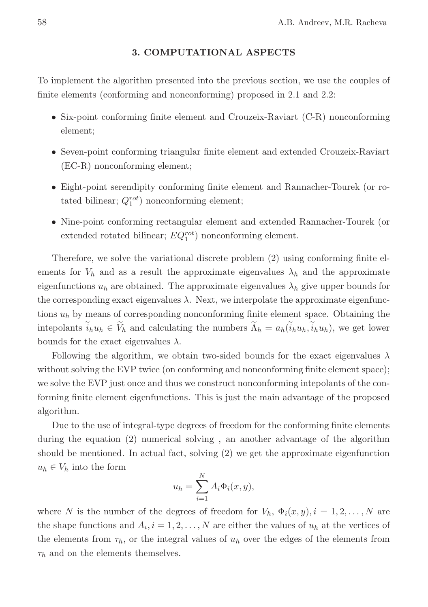# 3. COMPUTATIONAL ASPECTS

To implement the algorithm presented into the previous section, we use the couples of finite elements (conforming and nonconforming) proposed in 2.1 and 2.2:

- Six-point conforming finite element and Crouzeix-Raviart (C-R) nonconforming element;
- Seven-point conforming triangular finite element and extended Crouzeix-Raviart (EC-R) nonconforming element;
- Eight-point serendipity conforming finite element and Rannacher-Tourek (or rotated bilinear;  $Q_1^{rot}$ ) nonconforming element;
- Nine-point conforming rectangular element and extended Rannacher-Tourek (or extended rotated bilinear;  $EQ_1^{rot}$ ) nonconforming element.

Therefore, we solve the variational discrete problem (2) using conforming finite elements for  $V_h$  and as a result the approximate eigenvalues  $\lambda_h$  and the approximate eigenfunctions  $u_h$  are obtained. The approximate eigenvalues  $\lambda_h$  give upper bounds for the corresponding exact eigenvalues  $\lambda$ . Next, we interpolate the approximate eigenfunctions  $u_h$  by means of corresponding nonconforming finite element space. Obtaining the intepolants  $i_h u_h \in V_h$  and calculating the numbers  $\Lambda_h = a_h(i_h u_h, i_h u_h)$ , we get lower bounds for the exact eigenvalues  $\lambda$ .

Following the algorithm, we obtain two-sided bounds for the exact eigenvalues  $\lambda$ without solving the EVP twice (on conforming and nonconforming finite element space); we solve the EVP just once and thus we construct nonconforming intepolants of the conforming finite element eigenfunctions. This is just the main advantage of the proposed algorithm.

Due to the use of integral-type degrees of freedom for the conforming finite elements during the equation (2) numerical solving , an another advantage of the algorithm should be mentioned. In actual fact, solving (2) we get the approximate eigenfunction  $u_h \in V_h$  into the form

$$
u_h = \sum_{i=1}^{N} A_i \Phi_i(x, y),
$$

where N is the number of the degrees of freedom for  $V_h$ ,  $\Phi_i(x, y)$ ,  $i = 1, 2, \ldots, N$  are the shape functions and  $A_i$ ,  $i = 1, 2, ..., N$  are either the values of  $u_h$  at the vertices of the elements from  $\tau_h$ , or the integral values of  $u_h$  over the edges of the elements from  $\tau_h$  and on the elements themselves.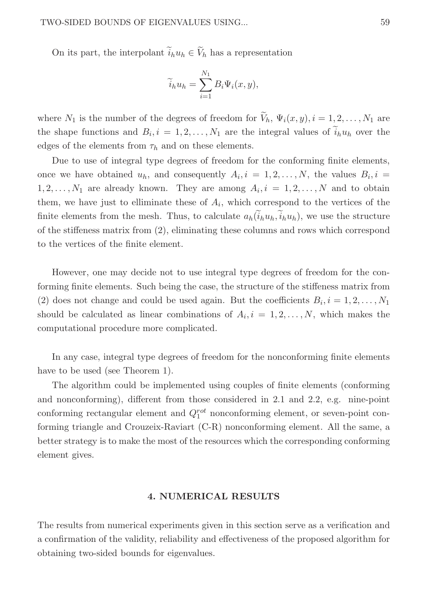#### TWO-SIDED BOUNDS OF EIGENVALUES USING... 59

On its part, the interpolant  $i_h u_h \in V_h$  has a representation

$$
\widetilde{i}_h u_h = \sum_{i=1}^{N_1} B_i \Psi_i(x, y),
$$

where  $N_1$  is the number of the degrees of freedom for  $V_h$ ,  $\Psi_i(x, y)$ ,  $i = 1, 2, ..., N_1$  are the shape functions and  $B_i$ ,  $i = 1, 2, ..., N_1$  are the integral values of  $i_h u_h$  over the edges of the elements from  $\tau_h$  and on these elements.

Due to use of integral type degrees of freedom for the conforming finite elements, once we have obtained  $u_h$ , and consequently  $A_i, i = 1, 2, ..., N$ , the values  $B_i, i =$  $1, 2, \ldots, N_1$  are already known. They are among  $A_i, i = 1, 2, \ldots, N$  and to obtain them, we have just to elliminate these of  $A_i$ , which correspond to the vertices of the finite elements from the mesh. Thus, to calculate  $a_h(\tilde{i}_h u_h, \tilde{i}_h u_h)$ , we use the structure of the stiffeness matrix from (2), eliminating these columns and rows which correspond to the vertices of the finite element.

However, one may decide not to use integral type degrees of freedom for the conforming finite elements. Such being the case, the structure of the stiffeness matrix from (2) does not change and could be used again. But the coefficients  $B_i$ ,  $i = 1, 2, ..., N_1$ should be calculated as linear combinations of  $A_i$ ,  $i = 1, 2, \ldots, N$ , which makes the computational procedure more complicated.

In any case, integral type degrees of freedom for the nonconforming finite elements have to be used (see Theorem 1).

The algorithm could be implemented using couples of finite elements (conforming and nonconforming), different from those considered in 2.1 and 2.2, e.g. nine-point conforming rectangular element and  $Q_1^{rot}$  nonconforming element, or seven-point conforming triangle and Crouzeix-Raviart (C-R) nonconforming element. All the same, a better strategy is to make the most of the resources which the corresponding conforming element gives.

#### 4. NUMERICAL RESULTS

The results from numerical experiments given in this section serve as a verification and a confirmation of the validity, reliability and effectiveness of the proposed algorithm for obtaining two-sided bounds for eigenvalues.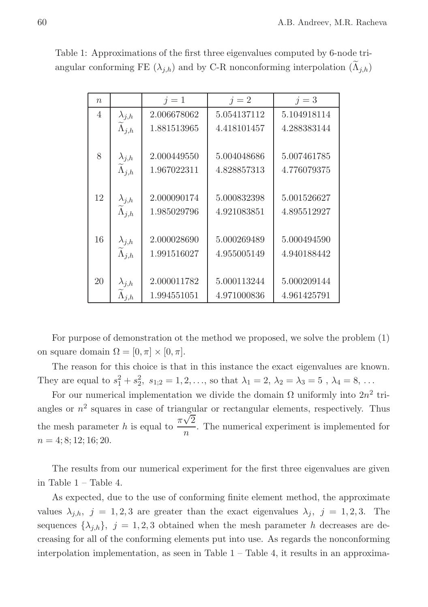| $\boldsymbol{n}$ |                                         | $j=1$       | $j=2$       | $j=3$       |
|------------------|-----------------------------------------|-------------|-------------|-------------|
| $\overline{4}$   | $\lambda_{j,h}$                         | 2.006678062 | 5.054137112 | 5.104918114 |
|                  | $\widetilde{\Lambda}_{j,h}$             | 1.881513965 | 4.418101457 | 4.288383144 |
| 8                | $\lambda_{j,h}$                         | 2.000449550 | 5.004048686 | 5.007461785 |
|                  | $\widetilde{\Lambda}_{j,h}$             | 1.967022311 | 4.828857313 | 4.776079375 |
| 12               | $\lambda_{j,h}$                         | 2.000090174 | 5.000832398 | 5.001526627 |
|                  | $\widetilde{\Lambda}_{j,h}$             | 1.985029796 | 4.921083851 | 4.895512927 |
| 16               | $\lambda_{j,h}$                         | 2.000028690 | 5.000269489 | 5.000494590 |
|                  | $\widetilde{\Lambda}_{j,h}$             | 1.991516027 | 4.955005149 | 4.940188442 |
| 20               | $\lambda_{j,h}$                         | 2.000011782 | 5.000113244 | 5.000209144 |
|                  | $\widetilde{\Lambda}_{j,\underline{h}}$ | 1.994551051 | 4.971000836 | 4.961425791 |

Table 1: Approximations of the first three eigenvalues computed by 6-node triangular conforming FE  $(\lambda_{j,h})$  and by C-R nonconforming interpolation  $(\Lambda_{j,h})$ 

For purpose of demonstration ot the method we proposed, we solve the problem (1) on square domain  $\Omega = [0, \pi] \times [0, \pi]$ .

The reason for this choice is that in this instance the exact eigenvalues are known. They are equal to  $s_1^2 + s_2^2$ ,  $s_{1;2} = 1, 2, ...,$  so that  $\lambda_1 = 2, \lambda_2 = \lambda_3 = 5$ ,  $\lambda_4 = 8, ...$ 

For our numerical implementation we divide the domain  $\Omega$  uniformly into  $2n^2$  triangles or  $n^2$  squares in case of triangular or rectangular elements, respectively. Thus the mesh parameter h is equal to  $\frac{\pi\sqrt{2}}{2}$  $\frac{\sqrt{2}}{n}$ . The numerical experiment is implemented for  $n = 4; 8; 12; 16; 20.$ 

The results from our numerical experiment for the first three eigenvalues are given in Table 1 – Table 4.

As expected, due to the use of conforming finite element method, the approximate values  $\lambda_{j,h}, j = 1, 2, 3$  are greater than the exact eigenvalues  $\lambda_j, j = 1, 2, 3$ . The sequences  $\{\lambda_{j,h}\},\ j=1,2,3$  obtained when the mesh parameter h decreases are decreasing for all of the conforming elements put into use. As regards the nonconforming interpolation implementation, as seen in Table  $1 -$  Table  $4$ , it results in an approxima-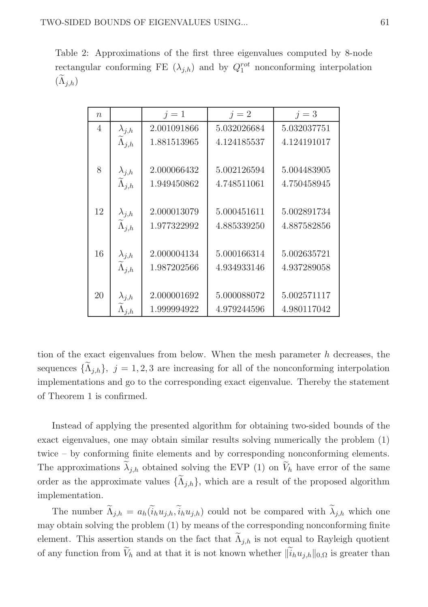Table 2: Approximations of the first three eigenvalues computed by 8-node rectangular conforming FE  $(\lambda_{j,h})$  and by  $Q_1^{rot}$  nonconforming interpolation  $(\Lambda_{j,h})$ 

| $\eta$         |                                                   | $j=1$       | $j=2$       | $j=3$       |
|----------------|---------------------------------------------------|-------------|-------------|-------------|
| $\overline{4}$ | $\lambda_{j,h}$                                   | 2.001091866 | 5.032026684 | 5.032037751 |
|                | $\widetilde{\Lambda}_{j,h}$                       | 1.881513965 | 4.124185537 | 4.124191017 |
|                |                                                   |             |             |             |
| 8              | $\lambda_{j,h}$                                   | 2.000066432 | 5.002126594 | 5.004483905 |
|                | $\widetilde{\Lambda}_{j,h}$                       | 1.949450862 | 4.748511061 | 4.750458945 |
|                |                                                   |             |             |             |
| 12             |                                                   | 2.000013079 | 5.000451611 | 5.002891734 |
|                | $\frac{\lambda_{j,h}}{\widetilde{\Lambda}_{j,h}}$ | 1.977322992 | 4.885339250 | 4.887582856 |
|                |                                                   |             |             |             |
| 16             | $\lambda_{j,h}$                                   | 2.000004134 | 5.000166314 | 5.002635721 |
|                | $\widetilde{\Lambda}_{i,h}$                       | 1.987202566 | 4.934933146 | 4.937289058 |
|                |                                                   |             |             |             |
| 20             | $\lambda_{j,h}$                                   | 2.000001692 | 5.000088072 | 5.002571117 |
|                | $\Lambda_{j,h}$                                   | 1.999994922 | 4.979244596 | 4.980117042 |

tion of the exact eigenvalues from below. When the mesh parameter  $h$  decreases, the sequences  $\{\Lambda_{j,h}\},\ j=1,2,3$  are increasing for all of the nonconforming interpolation implementations and go to the corresponding exact eigenvalue. Thereby the statement of Theorem 1 is confirmed.

Instead of applying the presented algorithm for obtaining two-sided bounds of the exact eigenvalues, one may obtain similar results solving numerically the problem (1) twice – by conforming finite elements and by corresponding nonconforming elements. The approximations  $\lambda_{j,h}$  obtained solving the EVP (1) on  $V_h$  have error of the same order as the approximate values  $\{\Lambda_{j,h}\}\$ , which are a result of the proposed algorithm implementation.

The number  $\Lambda_{j,h} = a_h(i_h u_{j,h}, i_h u_{j,h})$  could not be compared with  $\lambda_{j,h}$  which one may obtain solving the problem (1) by means of the corresponding nonconforming finite element. This assertion stands on the fact that  $\Lambda_{j,h}$  is not equal to Rayleigh quotient of any function from  $V_h$  and at that it is not known whether  $\|i_h u_{j,h}\|_{0,\Omega}$  is greater than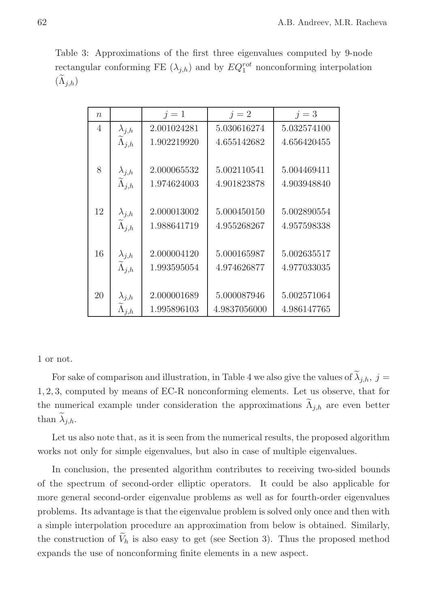Table 3: Approximations of the first three eigenvalues computed by 9-node rectangular conforming FE  $(\lambda_{j,h})$  and by  $EQ_1^{rot}$  nonconforming interpolation  $(\Lambda_{j,h})$ 

| $\eta$ |                             | $i=1$       | $j=2$        | $j=3$       |
|--------|-----------------------------|-------------|--------------|-------------|
| 4      | $\lambda_{j,h}$             | 2.001024281 | 5.030616274  | 5.032574100 |
|        | $\widetilde{\Lambda}_{j,h}$ | 1.902219920 | 4.655142682  | 4.656420455 |
| 8      |                             |             |              |             |
|        | $\lambda_{j,h}$             | 2.000065532 | 5.002110541  | 5.004469411 |
|        | $\widetilde{\Lambda}_{j,h}$ | 1.974624003 | 4.901823878  | 4.903948840 |
|        |                             |             |              |             |
| 12     | $\lambda_{j,h}$             | 2.000013002 | 5.000450150  | 5.002890554 |
|        | $\widetilde{\Lambda}_{j,h}$ | 1.988641719 | 4.955268267  | 4.957598338 |
|        |                             |             |              |             |
| 16     | $\lambda_{j,h}$             | 2.000004120 | 5.000165987  | 5.002635517 |
|        | $\widetilde{\Lambda}_{i,h}$ | 1.993595054 | 4.974626877  | 4.977033035 |
|        |                             |             |              |             |
| 20     | $\lambda_{j,h}$             | 2.000001689 | 5.000087946  | 5.002571064 |
|        | $\Lambda_{j,h}$             | 1.995896103 | 4.9837056000 | 4.986147765 |

1 or not.

For sake of comparison and illustration, in Table 4 we also give the values of  $\lambda_{j,h},\ j=1$ 1, 2, 3, computed by means of EC-R nonconforming elements. Let us observe, that for the numerical example under consideration the approximations  $\Lambda_{j,h}$  are even better than  $\lambda_{j,h}$ .

Let us also note that, as it is seen from the numerical results, the proposed algorithm works not only for simple eigenvalues, but also in case of multiple eigenvalues.

In conclusion, the presented algorithm contributes to receiving two-sided bounds of the spectrum of second-order elliptic operators. It could be also applicable for more general second-order eigenvalue problems as well as for fourth-order eigenvalues problems. Its advantage is that the eigenvalue problem is solved only once and then with a simple interpolation procedure an approximation from below is obtained. Similarly, the construction of  $V_h$  is also easy to get (see Section 3). Thus the proposed method expands the use of nonconforming finite elements in a new aspect.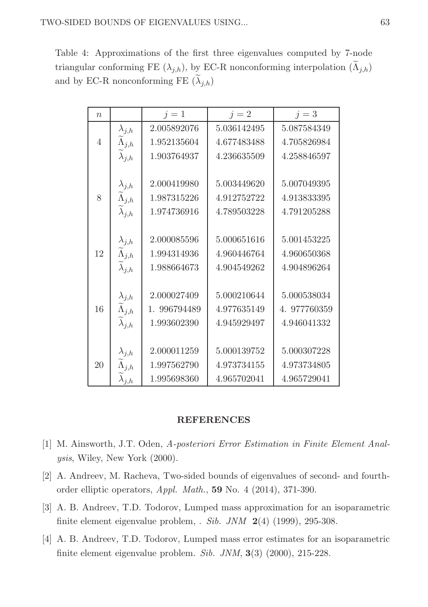Table 4: Approximations of the first three eigenvalues computed by 7-node triangular conforming FE  $(\lambda_{j,h})$ , by EC-R nonconforming interpolation  $(\Lambda_{j,h})$ and by EC-R nonconforming FE  $(\lambda_{j,h})$ 

| $\boldsymbol{n}$ |                             | $j=1$        | $j=2$       | $j=3$        |
|------------------|-----------------------------|--------------|-------------|--------------|
|                  | $\lambda_{j,h}$             | 2.005892076  | 5.036142495 | 5.087584349  |
| $\overline{4}$   | $\widetilde{\Lambda}_{j,h}$ | 1.952135604  | 4.677483488 | 4.705826984  |
|                  | $\lambda_{j,h}$             | 1.903764937  | 4.236635509 | 4.258846597  |
|                  |                             |              |             |              |
|                  | $\lambda_{j,h}$             | 2.000419980  | 5.003449620 | 5.007049395  |
| 8                | $\widetilde{\Lambda}_{j,h}$ | 1.987315226  | 4.912752722 | 4.913833395  |
|                  | $\lambda_{j,h}$             | 1.974736916  | 4.789503228 | 4.791205288  |
|                  |                             |              |             |              |
|                  | $\lambda_{j,h}$             | 2.000085596  | 5.000651616 | 5.001453225  |
| 12               | $\widetilde{\Lambda}_{j,h}$ | 1.994314936  | 4.960446764 | 4.960650368  |
|                  | $\widetilde{\lambda}_{j,h}$ | 1.988664673  | 4.904549262 | 4.904896264  |
|                  |                             |              |             |              |
|                  | $\lambda_{j,h}$             | 2.000027409  | 5.000210644 | 5.000538034  |
| 16               | $\widetilde{\Lambda}_{j,h}$ | 1. 996794489 | 4.977635149 | 4. 977760359 |
|                  | $\lambda_{j,h}$             | 1.993602390  | 4.945929497 | 4.946041332  |
|                  |                             |              |             |              |
|                  | $\lambda_{j,h}$             | 2.000011259  | 5.000139752 | 5.000307228  |
| 20               | $\Lambda_{j,h}$             | 1.997562790  | 4.973734155 | 4.973734805  |
|                  | $\lambda_{j,h}$             | 1.995698360  | 4.965702041 | 4.965729041  |

# REFERENCES

- [1] M. Ainsworth, J.T. Oden, A-posteriori Error Estimation in Finite Element Analysis, Wiley, New York (2000).
- [2] A. Andreev, M. Racheva, Two-sided bounds of eigenvalues of second- and fourthorder elliptic operators, Appl. Math., 59 No. 4 (2014), 371-390.
- [3] A. B. Andreev, T.D. Todorov, Lumped mass approximation for an isoparametric finite element eigenvalue problem,  $. Sib. JNM$  2(4) (1999), 295-308.
- [4] A. B. Andreev, T.D. Todorov, Lumped mass error estimates for an isoparametric finite element eigenvalue problem. Sib. JNM, 3(3) (2000), 215-228.